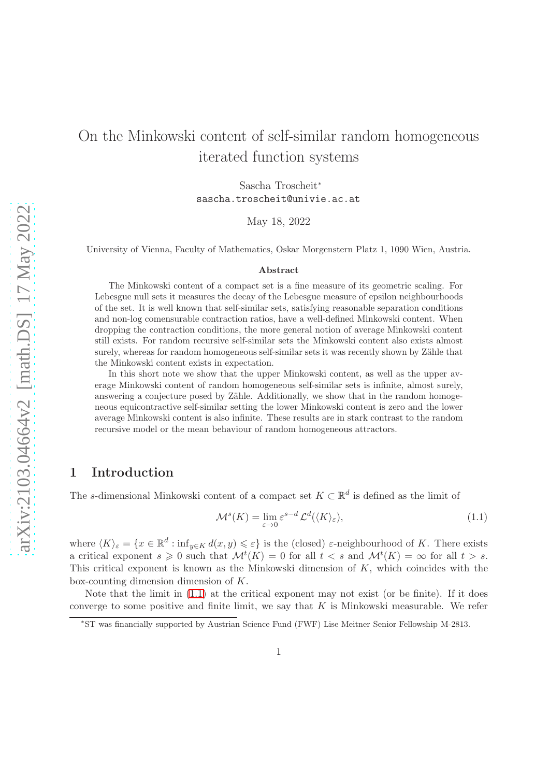# On the Minkowski content of self-similar random homogeneous iterated function systems

Sascha Troscheit<sup>∗</sup> sascha.troscheit@univie.ac.at

May 18, 2022

University of Vienna, Faculty of Mathematics, Oskar Morgenstern Platz 1, 1090 Wien, Austria.

#### Abstract

The Minkowski content of a compact set is a fine measure of its geometric scaling. For Lebesgue null sets it measures the decay of the Lebesgue measure of epsilon neighbourhoods of the set. It is well known that self-similar sets, satisfying reasonable separation conditions and non-log comensurable contraction ratios, have a well-defined Minkowski content. When dropping the contraction conditions, the more general notion of average Minkowski content still exists. For random recursive self-similar sets the Minkowski content also exists almost surely, whereas for random homogeneous self-similar sets it was recently shown by Zähle that the Minkowski content exists in expectation.

In this short note we show that the upper Minkowski content, as well as the upper average Minkowski content of random homogeneous self-similar sets is infinite, almost surely, answering a conjecture posed by Zähle. Additionally, we show that in the random homogeneous equicontractive self-similar setting the lower Minkowski content is zero and the lower average Minkowski content is also infinite. These results are in stark contrast to the random recursive model or the mean behaviour of random homogeneous attractors.

## 1 Introduction

The s-dimensional Minkowski content of a compact set  $K \subset \mathbb{R}^d$  is defined as the limit of

<span id="page-0-0"></span>
$$
\mathcal{M}^s(K) = \lim_{\varepsilon \to 0} \varepsilon^{s-d} \mathcal{L}^d(\langle K \rangle_\varepsilon),\tag{1.1}
$$

where  $\langle K \rangle_{\varepsilon} = \{x \in \mathbb{R}^d : \inf_{y \in K} d(x, y) \leqslant \varepsilon\}$  is the (closed)  $\varepsilon$ -neighbourhood of K. There exists a critical exponent  $s \geq 0$  such that  $\mathcal{M}^t(K) = 0$  for all  $t < s$  and  $\mathcal{M}^t(K) = \infty$  for all  $t > s$ . This critical exponent is known as the Minkowski dimension of  $K$ , which coincides with the box-counting dimension dimension of K.

Note that the limit in  $(1.1)$  at the critical exponent may not exist (or be finite). If it does converge to some positive and finite limit, we say that  $K$  is Minkowski measurable. We refer

<sup>∗</sup> ST was financially supported by Austrian Science Fund (FWF) Lise Meitner Senior Fellowship M-2813.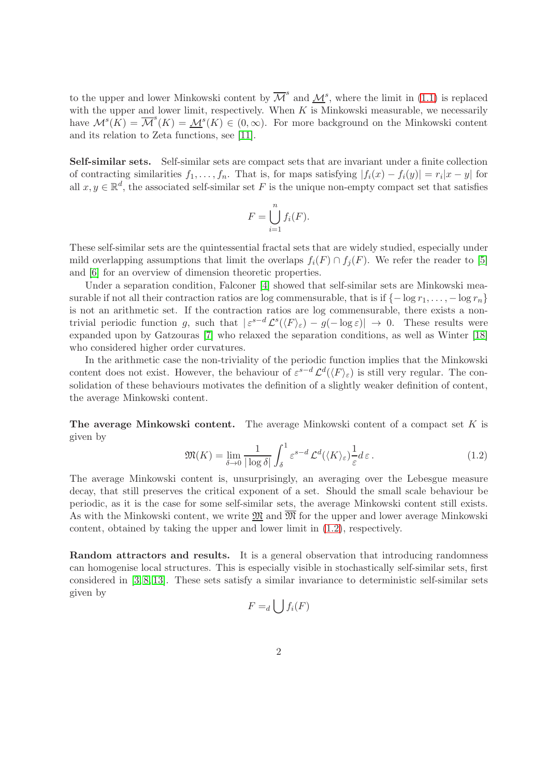to the upper and lower Minkowski content by  $\overline{\mathcal{M}}^s$  and  $\underline{\mathcal{M}}^s$ , where the limit in [\(1.1\)](#page-0-0) is replaced with the upper and lower limit, respectively. When  $K$  is Minkowski measurable, we necessarily have  $\mathcal{M}^s(\tilde{K}) = \overline{\mathcal{M}}^s(K) = \underline{\mathcal{M}}^s(K) \in (0,\infty)$ . For more background on the Minkowski content and its relation to Zeta functions, see [\[11\]](#page-14-0).

Self-similar sets. Self-similar sets are compact sets that are invariant under a finite collection of contracting similarities  $f_1, \ldots, f_n$ . That is, for maps satisfying  $|f_i(x) - f_i(y)| = r_i |x - y|$  for all  $x, y \in \mathbb{R}^d$ , the associated self-similar set F is the unique non-empty compact set that satisfies

$$
F = \bigcup_{i=1}^{n} f_i(F).
$$

These self-similar sets are the quintessential fractal sets that are widely studied, especially under mild overlapping assumptions that limit the overlaps  $f_i(F) \cap f_i(F)$ . We refer the reader to [\[5\]](#page-14-1) and [\[6\]](#page-14-2) for an overview of dimension theoretic properties.

Under a separation condition, Falconer [\[4\]](#page-14-3) showed that self-similar sets are Minkowski measurable if not all their contraction ratios are log commensurable, that is if  $\{-\log r_1, \ldots, -\log r_n\}$ is not an arithmetic set. If the contraction ratios are log commensurable, there exists a nontrivial periodic function g, such that  $|\varepsilon^{s-d} \mathcal{L}^s(\langle F \rangle_{\varepsilon}) - g(-\log \varepsilon)| \to 0$ . These results were expanded upon by Gatzouras [\[7\]](#page-14-4) who relaxed the separation conditions, as well as Winter [\[18\]](#page-14-5) who considered higher order curvatures.

In the arithmetic case the non-triviality of the periodic function implies that the Minkowski content does not exist. However, the behaviour of  $\varepsilon^{s-d} \mathcal{L}^d(\langle F \rangle_{\varepsilon})$  is still very regular. The consolidation of these behaviours motivates the definition of a slightly weaker definition of content, the average Minkowski content.

The average Minkowski content. The average Minkowski content of a compact set  $K$  is given by

<span id="page-1-0"></span>
$$
\mathfrak{M}(K) = \lim_{\delta \to 0} \frac{1}{|\log \delta|} \int_{\delta}^{1} \varepsilon^{s-d} \mathcal{L}^{d}(\langle K \rangle_{\varepsilon}) \frac{1}{\varepsilon} d\varepsilon.
$$
 (1.2)

The average Minkowski content is, unsurprisingly, an averaging over the Lebesgue measure decay, that still preserves the critical exponent of a set. Should the small scale behaviour be periodic, as it is the case for some self-similar sets, the average Minkowski content still exists. As with the Minkowski content, we write  $\mathfrak{M}$  and  $\overline{\mathfrak{M}}$  for the upper and lower average Minkowski content, obtained by taking the upper and lower limit in [\(1.2\)](#page-1-0), respectively.

Random attractors and results. It is a general observation that introducing randomness can homogenise local structures. This is especially visible in stochastically self-similar sets, first considered in [\[3,](#page-14-6) [8,](#page-14-7) [13\]](#page-14-8). These sets satisfy a similar invariance to deterministic self-similar sets given by

$$
F=_d \bigcup f_i(F)
$$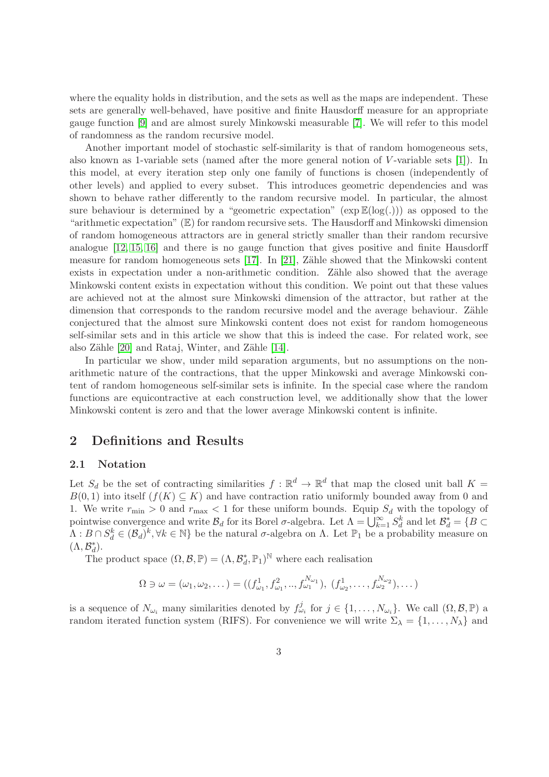where the equality holds in distribution, and the sets as well as the maps are independent. These sets are generally well-behaved, have positive and finite Hausdorff measure for an appropriate gauge function [\[9\]](#page-14-9) and are almost surely Minkowski measurable [\[7\]](#page-14-4). We will refer to this model of randomness as the random recursive model.

Another important model of stochastic self-similarity is that of random homogeneous sets, also known as 1-variable sets (named after the more general notion of  $V$ -variable sets [\[1\]](#page-13-0)). In this model, at every iteration step only one family of functions is chosen (independently of other levels) and applied to every subset. This introduces geometric dependencies and was shown to behave rather differently to the random recursive model. In particular, the almost sure behaviour is determined by a "geometric expectation" ( $\exp\mathbb{E}(\log(.))$ ) as opposed to the "arithmetic expectation" (E) for random recursive sets. The Hausdorff and Minkowski dimension of random homogeneous attractors are in general strictly smaller than their random recursive analogue [\[12,](#page-14-10) [15,](#page-14-11) [16\]](#page-14-12) and there is no gauge function that gives positive and finite Hausdorff measure for random homogeneous sets  $[17]$ . In  $[21]$ , Zähle showed that the Minkowski content exists in expectation under a non-arithmetic condition. Zähle also showed that the average Minkowski content exists in expectation without this condition. We point out that these values are achieved not at the almost sure Minkowski dimension of the attractor, but rather at the dimension that corresponds to the random recursive model and the average behaviour. Zähle conjectured that the almost sure Minkowski content does not exist for random homogeneous self-similar sets and in this article we show that this is indeed the case. For related work, see also Zähle  $[20]$  and Rataj, Winter, and Zähle  $[14]$ .

In particular we show, under mild separation arguments, but no assumptions on the nonarithmetic nature of the contractions, that the upper Minkowski and average Minkowski content of random homogeneous self-similar sets is infinite. In the special case where the random functions are equicontractive at each construction level, we additionally show that the lower Minkowski content is zero and that the lower average Minkowski content is infinite.

## 2 Definitions and Results

#### 2.1 Notation

Let  $S_d$  be the set of contracting similarities  $f : \mathbb{R}^d \to \mathbb{R}^d$  that map the closed unit ball  $K =$  $B(0, 1)$  into itself  $(f(K) \subseteq K)$  and have contraction ratio uniformly bounded away from 0 and 1. We write  $r_{\min} > 0$  and  $r_{\max} < 1$  for these uniform bounds. Equip  $S_d$  with the topology of pointwise convergence and write  $\mathcal{B}_d$  for its Borel  $\sigma$ -algebra. Let  $\Lambda = \bigcup_{k=1}^{\infty} S_d^k$  and let  $\mathcal{B}_d^* = \{B \subset \Lambda\}$  $\Lambda: B \cap S_d^k \in (\mathcal{B}_d)^k, \forall k \in \mathbb{N} \}$  be the natural  $\sigma$ -algebra on  $\Lambda$ . Let  $\mathbb{P}_1$  be a probability measure on  $(\Lambda, \mathcal{B}_d^*).$ 

The product space  $(\Omega, \mathcal{B}, \mathbb{P}) = (\Lambda, \mathcal{B}_d^*, \mathbb{P}_1)^{\mathbb{N}}$  where each realisation

$$
\Omega \ni \omega = (\omega_1, \omega_2, \dots) = ((f_{\omega_1}^1, f_{\omega_1}^2, ..., f_{\omega_1}^{N_{\omega_1}}), (f_{\omega_2}^1, ..., f_{\omega_2}^{N_{\omega_2}}), \dots)
$$

is a sequence of  $N_{\omega_i}$  many similarities denoted by  $f_{\omega_i}^j$  for  $j \in \{1, \ldots, N_{\omega_i}\}$ . We call  $(\Omega, \mathcal{B}, \mathbb{P})$  a random iterated function system (RIFS). For convenience we will write  $\Sigma_{\lambda} = \{1, \ldots, N_{\lambda}\}\$  and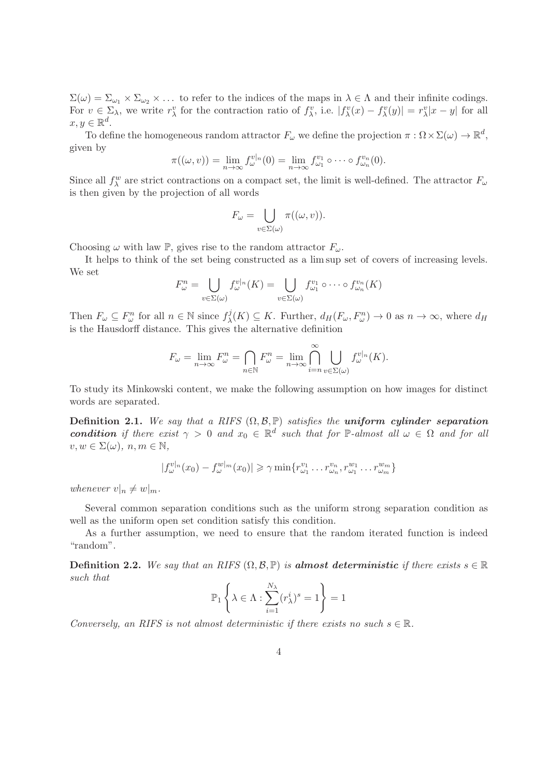$\Sigma(\omega) = \Sigma_{\omega_1} \times \Sigma_{\omega_2} \times \ldots$  to refer to the indices of the maps in  $\lambda \in \Lambda$  and their infinite codings. For  $v \in \Sigma_{\lambda}$ , we write  $r_{\lambda}^v$  for the contraction ratio of  $f_{\lambda}^v$ , i.e.  $|f_{\lambda}^v(x) - f_{\lambda}^v(y)| = r_{\lambda}^v |x - y|$  for all  $x, y \in \mathbb{R}^d$ .

To define the homogeneous random attractor  $F_{\omega}$  we define the projection  $\pi : \Omega \times \Sigma(\omega) \to \mathbb{R}^d$ , given by

$$
\pi((\omega,v)) = \lim_{n \to \infty} f_{\omega}^{v|_n}(0) = \lim_{n \to \infty} f_{\omega_1}^{v_1} \circ \cdots \circ f_{\omega_n}^{v_n}(0).
$$

Since all  $f_{\lambda}^{w}$  are strict contractions on a compact set, the limit is well-defined. The attractor  $F_{\omega}$ is then given by the projection of all words

$$
F_{\omega} = \bigcup_{v \in \Sigma(\omega)} \pi((\omega, v)).
$$

Choosing  $\omega$  with law P, gives rise to the random attractor  $F_{\omega}$ .

It helps to think of the set being constructed as a lim sup set of covers of increasing levels. We set

$$
F_{\omega}^n = \bigcup_{v \in \Sigma(\omega)} f_{\omega}^{v|_n}(K) = \bigcup_{v \in \Sigma(\omega)} f_{\omega_1}^{v_1} \circ \cdots \circ f_{\omega_n}^{v_n}(K)
$$

Then  $F_{\omega} \subseteq F_{\omega}^n$  for all  $n \in \mathbb{N}$  since  $f_{\lambda}^j$  $\chi(\mathcal{X}) \subseteq K$ . Further,  $d_H(F_\omega, F_\omega^n) \to 0$  as  $n \to \infty$ , where  $d_H$ is the Hausdorff distance. This gives the alternative definition

$$
F_{\omega} = \lim_{n \to \infty} F_{\omega}^{n} = \bigcap_{n \in \mathbb{N}} F_{\omega}^{n} = \lim_{n \to \infty} \bigcap_{i=n}^{\infty} \bigcup_{v \in \Sigma(\omega)} f_{\omega}^{v|n}(K).
$$

To study its Minkowski content, we make the following assumption on how images for distinct words are separated.

Definition 2.1. We say that a RIFS  $(\Omega, \mathcal{B}, \mathbb{P})$  satisfies the uniform cylinder separation condition if there exist  $\gamma > 0$  and  $x_0 \in \mathbb{R}^d$  such that for  $\mathbb{P}\text{-almost all } \omega \in \Omega$  and for all  $v, w \in \Sigma(\omega), n, m \in \mathbb{N},$ 

$$
|f_{\omega}^{v|_n}(x_0) - f_{\omega}^{w|_m}(x_0)| \geq \gamma \min \{r_{\omega_1}^{v_1} \dots r_{\omega_n}^{v_n}, r_{\omega_1}^{w_1} \dots r_{\omega_m}^{w_m}\}
$$

whenever  $v|_n \neq w|_m$ .

Several common separation conditions such as the uniform strong separation condition as well as the uniform open set condition satisfy this condition.

As a further assumption, we need to ensure that the random iterated function is indeed "random".

**Definition 2.2.** We say that an RIFS  $(\Omega, \mathcal{B}, \mathbb{P})$  is **almost deterministic** if there exists  $s \in \mathbb{R}$ such that

$$
\mathbb{P}_1\left\{\lambda \in \Lambda : \sum_{i=1}^{N_{\lambda}} (r_{\lambda}^i)^s = 1\right\} = 1
$$

Conversely, an RIFS is not almost deterministic if there exists no such  $s \in \mathbb{R}$ .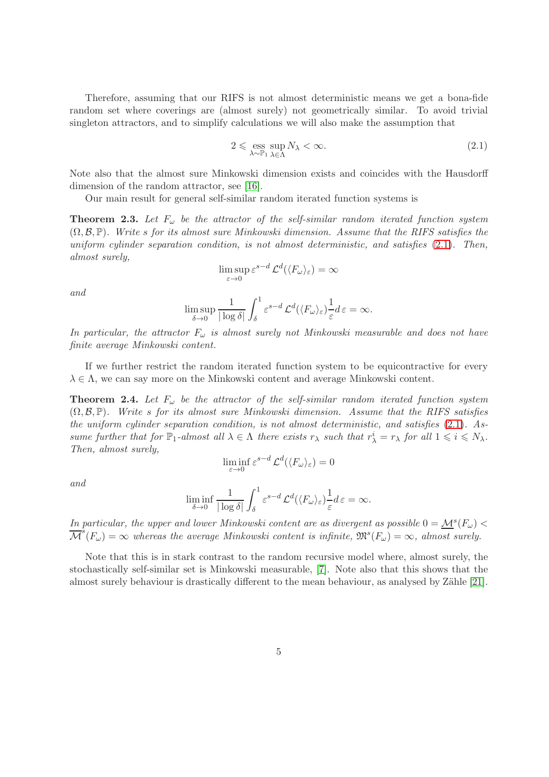Therefore, assuming that our RIFS is not almost deterministic means we get a bona-fide random set where coverings are (almost surely) not geometrically similar. To avoid trivial singleton attractors, and to simplify calculations we will also make the assumption that

<span id="page-4-0"></span>
$$
2 \leqslant \underset{\lambda \sim \mathbb{P}_1}{\text{ess sup}} N_{\lambda} < \infty. \tag{2.1}
$$

Note also that the almost sure Minkowski dimension exists and coincides with the Hausdorff dimension of the random attractor, see [\[16\]](#page-14-12).

Our main result for general self-similar random iterated function systems is

<span id="page-4-1"></span>**Theorem 2.3.** Let  $F_{\omega}$  be the attractor of the self-similar random iterated function system  $(\Omega, \mathcal{B}, \mathbb{P})$ . Write s for its almost sure Minkowski dimension. Assume that the RIFS satisfies the uniform cylinder separation condition, is not almost deterministic, and satisfies [\(2.1\)](#page-4-0). Then, almost surely,

$$
\limsup_{\varepsilon \to 0} \varepsilon^{s-d} \mathcal{L}^d(\langle F_\omega \rangle_\varepsilon) = \infty
$$

and

$$
\limsup_{\delta \to 0} \frac{1}{|\log \delta|} \int_{\delta}^{1} \varepsilon^{s-d} \mathcal{L}^{d}(\langle F_{\omega} \rangle_{\varepsilon}) \frac{1}{\varepsilon} d\varepsilon = \infty.
$$

In particular, the attractor  $F_{\omega}$  is almost surely not Minkowski measurable and does not have finite average Minkowski content.

If we further restrict the random iterated function system to be equicontractive for every  $\lambda \in \Lambda$ , we can say more on the Minkowski content and average Minkowski content.

<span id="page-4-2"></span>**Theorem 2.4.** Let  $F_{\omega}$  be the attractor of the self-similar random iterated function system  $(\Omega, \mathcal{B}, \mathbb{P})$ . Write s for its almost sure Minkowski dimension. Assume that the RIFS satisfies the uniform cylinder separation condition, is not almost deterministic, and satisfies [\(2.1\)](#page-4-0). Assume further that for  $\mathbb{P}_1$ -almost all  $\lambda \in \Lambda$  there exists  $r_\lambda$  such that  $r_\lambda^i = r_\lambda$  for all  $1 \leq i \leq N_\lambda$ . Then, almost surely,

$$
\liminf_{\varepsilon \to 0} \varepsilon^{s-d} \mathcal{L}^d(\langle F_\omega \rangle_\varepsilon) = 0
$$

and

$$
\liminf_{\delta \to 0} \frac{1}{|\log \delta|} \int_{\delta}^{1} \varepsilon^{s-d} \mathcal{L}^{d}(\langle F_{\omega} \rangle_{\varepsilon}) \frac{1}{\varepsilon} d\varepsilon = \infty.
$$

In particular, the upper and lower Minkowski content are as divergent as possible  $0 = M^s(F_\omega)$  $\overline{\mathcal{M}}^s(F_\omega) = \infty$  whereas the average Minkowski content is infinite,  $\mathfrak{M}^s(F_\omega) = \infty$ , almost surely.

Note that this is in stark contrast to the random recursive model where, almost surely, the stochastically self-similar set is Minkowski measurable, [\[7\]](#page-14-4). Note also that this shows that the almost surely behaviour is drastically different to the mean behaviour, as analysed by Zähle [\[21\]](#page-15-0).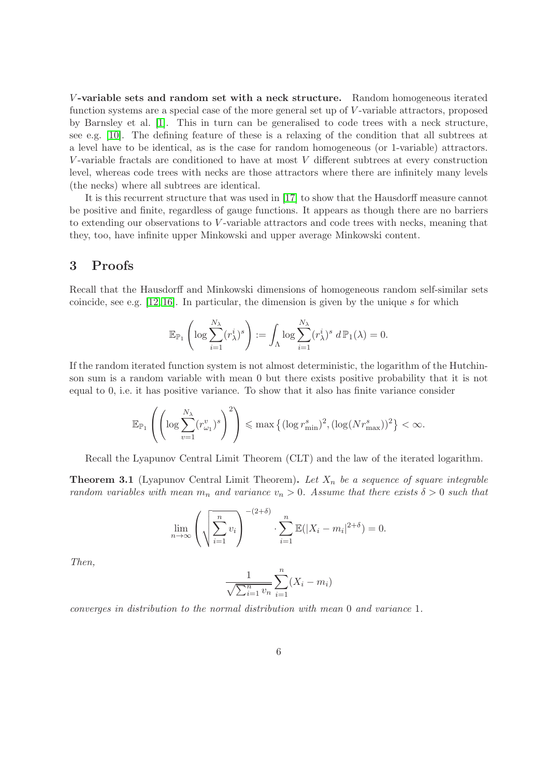V-variable sets and random set with a neck structure. Random homogeneous iterated function systems are a special case of the more general set up of V-variable attractors, proposed by Barnsley et al. [\[1\]](#page-13-0). This in turn can be generalised to code trees with a neck structure, see e.g. [\[10\]](#page-14-15). The defining feature of these is a relaxing of the condition that all subtrees at a level have to be identical, as is the case for random homogeneous (or 1-variable) attractors. V -variable fractals are conditioned to have at most V different subtrees at every construction level, whereas code trees with necks are those attractors where there are infinitely many levels (the necks) where all subtrees are identical.

It is this recurrent structure that was used in [\[17\]](#page-14-13) to show that the Hausdorff measure cannot be positive and finite, regardless of gauge functions. It appears as though there are no barriers to extending our observations to V -variable attractors and code trees with necks, meaning that they, too, have infinite upper Minkowski and upper average Minkowski content.

## 3 Proofs

Recall that the Hausdorff and Minkowski dimensions of homogeneous random self-similar sets coincide, see e.g.  $[12, 16]$  $[12, 16]$ . In particular, the dimension is given by the unique s for which

$$
\mathbb{E}_{\mathbb{P}_1}\left(\log \sum_{i=1}^{N_{\lambda}} (r_{\lambda}^i)^s\right) := \int_{\Lambda} \log \sum_{i=1}^{N_{\lambda}} (r_{\lambda}^i)^s \ d\mathbb{P}_1(\lambda) = 0.
$$

If the random iterated function system is not almost deterministic, the logarithm of the Hutchinson sum is a random variable with mean 0 but there exists positive probability that it is not equal to 0, i.e. it has positive variance. To show that it also has finite variance consider

$$
\mathbb{E}_{\mathbb{P}_1}\left(\left(\log \sum_{v=1}^{N_{\lambda}} (r_{\omega_1}^v)^s\right)^2\right) \leq \max\left\{(\log r_{\min}^s)^2, (\log (Nr_{\max}^s))^2\right\} < \infty.
$$

Recall the Lyapunov Central Limit Theorem (CLT) and the law of the iterated logarithm.

**Theorem 3.1** (Lyapunov Central Limit Theorem). Let  $X_n$  be a sequence of square integrable random variables with mean  $m_n$  and variance  $v_n > 0$ . Assume that there exists  $\delta > 0$  such that

$$
\lim_{n \to \infty} \left( \sqrt{\sum_{i=1}^n v_i} \right)^{-(2+\delta)} \cdot \sum_{i=1}^n \mathbb{E}(|X_i - m_i|^{2+\delta}) = 0.
$$

Then,

$$
\frac{1}{\sqrt{\sum_{i=1}^{n} v_n}} \sum_{i=1}^{n} (X_i - m_i)
$$

converges in distribution to the normal distribution with mean 0 and variance 1.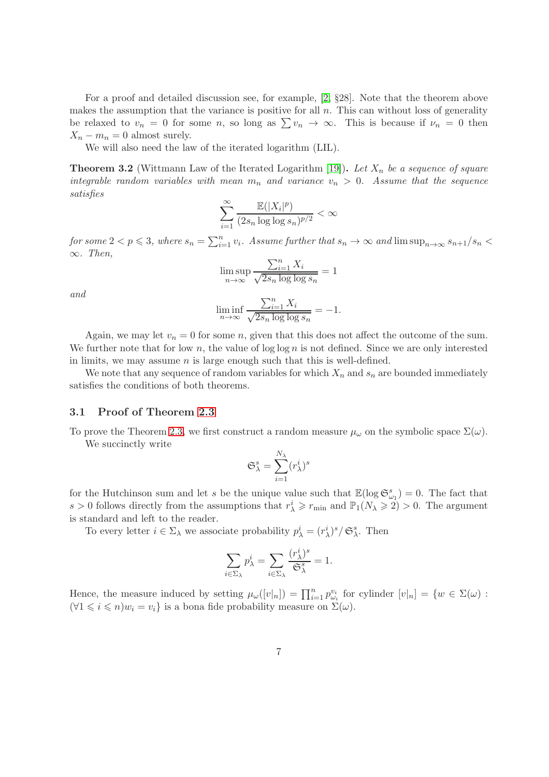For a proof and detailed discussion see, for example, [\[2,](#page-14-16) §28]. Note that the theorem above makes the assumption that the variance is positive for all  $n$ . This can without loss of generality be relaxed to  $v_n = 0$  for some n, so long as  $\sum v_n \to \infty$ . This is because if  $\nu_n = 0$  then  $X_n - m_n = 0$  almost surely.

We will also need the law of the iterated logarithm (LIL).

**Theorem 3.2** (Wittmann Law of the Iterated Logarithm [\[19\]](#page-15-2)). Let  $X_n$  be a sequence of square integrable random variables with mean  $m_n$  and variance  $v_n > 0$ . Assume that the sequence satisfies

$$
\sum_{i=1}^{\infty} \frac{\mathbb{E}(|X_i|^p)}{(2s_n \log \log s_n)^{p/2}} < \infty
$$

for some  $2 < p \leqslant 3$ , where  $s_n = \sum_{i=1}^n v_i$ . Assume further that  $s_n \to \infty$  and  $\limsup_{n \to \infty} s_{n+1}/s_n < \infty$  $\infty$ . Then,

$$
\limsup_{n \to \infty} \frac{\sum_{i=1}^{n} X_i}{\sqrt{2s_n \log \log s_n}} = 1
$$

and

$$
\liminf_{n \to \infty} \frac{\sum_{i=1}^{n} X_i}{\sqrt{2s_n \log \log s_n}} = -1.
$$

Again, we may let  $v_n = 0$  for some n, given that this does not affect the outcome of the sum. We further note that for low n, the value of  $\log \log n$  is not defined. Since we are only interested in limits, we may assume  $n$  is large enough such that this is well-defined.

We note that any sequence of random variables for which  $X_n$  and  $s_n$  are bounded immediately satisfies the conditions of both theorems.

#### 3.1 Proof of Theorem [2.3](#page-4-1)

To prove the Theorem [2.3,](#page-4-1) we first construct a random measure  $\mu_{\omega}$  on the symbolic space  $\Sigma(\omega)$ . We succinctly write

$$
\mathfrak{S}^s_{\lambda} = \sum_{i=1}^{N_{\lambda}} (r_{\lambda}^i)^s
$$

for the Hutchinson sum and let s be the unique value such that  $\mathbb{E}(\log \mathfrak{S}_{\omega_1}^s) = 0$ . The fact that s > 0 follows directly from the assumptions that  $r_{\lambda}^i \geq r_{\min}$  and  $\mathbb{P}_1(N_{\lambda} \geq 2) > 0$ . The argument is standard and left to the reader.

To every letter  $i \in \Sigma_{\lambda}$  we associate probability  $p_{\lambda}^i = (r_{\lambda}^i)^s / \mathfrak{S}_{\lambda}^s$ . Then

$$
\sum_{i \in \Sigma_{\lambda}} p_{\lambda}^{i} = \sum_{i \in \Sigma_{\lambda}} \frac{(r_{\lambda}^{i})^{s}}{\mathfrak{S}_{\lambda}^{s}} = 1.
$$

Hence, the measure induced by setting  $\mu_\omega([v]_n] = \prod_{i=1}^n p_{\omega_i}^{v_i}$  for cylinder  $[v]_n = \{w \in \Sigma(\omega) :$  $(\forall 1 \leq i \leq n) w_i = v_i$  is a bona fide probability measure on  $\Sigma(\omega)$ .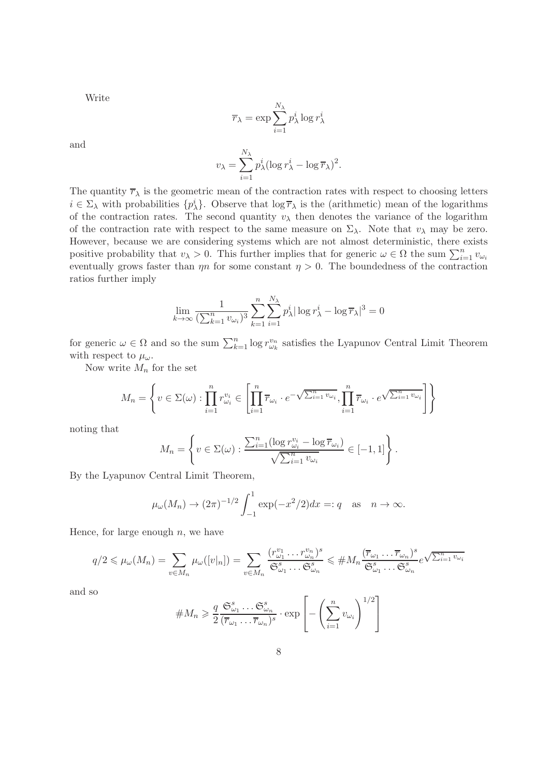Write

$$
\overline{r}_{\lambda} = \exp \sum_{i=1}^{N_{\lambda}} p_{\lambda}^{i} \log r_{\lambda}^{i}
$$

and

$$
v_{\lambda} = \sum_{i=1}^{N_{\lambda}} p_{\lambda}^{i} (\log r_{\lambda}^{i} - \log \overline{r}_{\lambda})^{2}.
$$

The quantity  $\overline{r}_{\lambda}$  is the geometric mean of the contraction rates with respect to choosing letters  $i \in \Sigma_\lambda$  with probabilities  $\{p_\lambda^i\}$ . Observe that  $\log \overline{r}_\lambda$  is the (arithmetic) mean of the logarithms of the contraction rates. The second quantity  $v_{\lambda}$  then denotes the variance of the logarithm of the contraction rate with respect to the same measure on  $\Sigma_{\lambda}$ . Note that  $v_{\lambda}$  may be zero. However, because we are considering systems which are not almost deterministic, there exists positive probability that  $v_{\lambda} > 0$ . This further implies that for generic  $\omega \in \Omega$  the sum  $\sum_{i=1}^{n} v_{\omega_i}$ eventually grows faster than  $\eta$  for some constant  $\eta > 0$ . The boundedness of the contraction ratios further imply

$$
\lim_{k \to \infty} \frac{1}{(\sum_{k=1}^n v_{\omega_i})^3} \sum_{k=1}^n \sum_{i=1}^{N_{\lambda}} p_{\lambda}^i |\log r_{\lambda}^i - \log \overline{r}_{\lambda}|^3 = 0
$$

for generic  $\omega \in \Omega$  and so the sum  $\sum_{k=1}^n \log r_{\omega_k}^{v_n}$  satisfies the Lyapunov Central Limit Theorem with respect to  $\mu_{\omega}$ .

Now write  $M_n$  for the set

$$
M_n = \left\{ v \in \Sigma(\omega) : \prod_{i=1}^n r_{\omega_i}^{v_i} \in \left[ \prod_{i=1}^n \overline{r}_{\omega_i} \cdot e^{-\sqrt{\sum_{i=1}^n v_{\omega_i}}}, \prod_{i=1}^n \overline{r}_{\omega_i} \cdot e^{\sqrt{\sum_{i=1}^n v_{\omega_i}}}\right] \right\}
$$

noting that

$$
M_n = \left\{ v \in \Sigma(\omega) : \frac{\sum_{i=1}^n (\log r_{\omega_i}^{v_i} - \log \overline{r}_{\omega_i})}{\sqrt{\sum_{i=1}^n v_{\omega_i}}} \in [-1,1] \right\}.
$$

By the Lyapunov Central Limit Theorem,

$$
\mu_{\omega}(M_n) \to (2\pi)^{-1/2} \int_{-1}^{1} \exp(-x^2/2) dx =: q \text{ as } n \to \infty.
$$

Hence, for large enough  $n$ , we have

$$
q/2 \leq \mu_{\omega}(M_n) = \sum_{v \in M_n} \mu_{\omega}([v|_n]) = \sum_{v \in M_n} \frac{(r_{\omega_1}^{v_1} \cdots r_{\omega_n}^{v_n})^s}{\mathfrak{S}_{\omega_1}^s \cdots \mathfrak{S}_{\omega_n}^s} \leq \# M_n \frac{(\overline{r}_{\omega_1} \cdots \overline{r}_{\omega_n})^s}{\mathfrak{S}_{\omega_1}^s \cdots \mathfrak{S}_{\omega_n}^s} e^{\sqrt{\sum_{i=1}^n v_{\omega_i}}}
$$

and so

$$
\#M_n \geqslant \frac{q}{2} \frac{\mathfrak{S}_{\omega_1}^s \dots \mathfrak{S}_{\omega_n}^s}{(\overline{r}_{\omega_1} \dots \overline{r}_{\omega_n})^s} \cdot \exp\left[-\left(\sum_{i=1}^n v_{\omega_i}\right)^{1/2}\right]
$$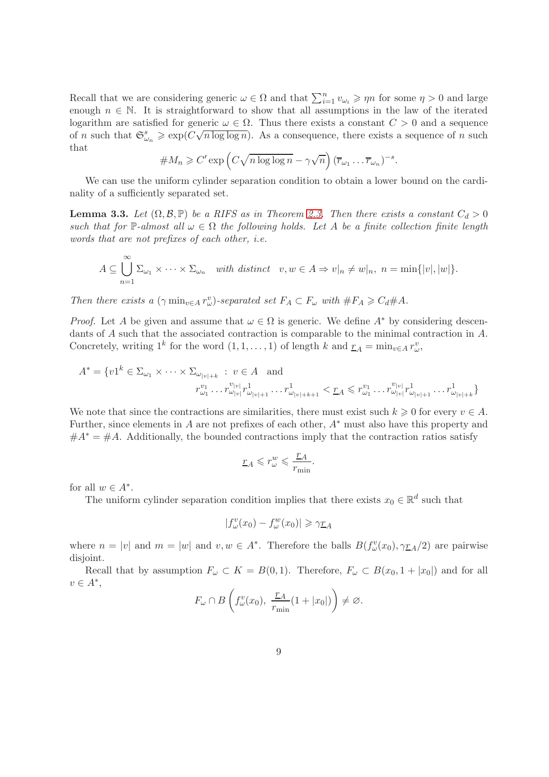Recall that we are considering generic  $\omega \in \Omega$  and that  $\sum_{i=1}^{n} v_{\omega_i} \geqslant \eta n$  for some  $\eta > 0$  and large enough  $n \in \mathbb{N}$ . It is straightforward to show that all assumptions in the law of the iterated logarithm are satisfied for generic  $\omega \in \Omega$ . Thus there exists a constant  $C > 0$  and a sequence of n such that  $\mathfrak{S}_{\omega_n}^s \geqslant \exp(C\sqrt{n \log \log n})$ . As a consequence, there exists a sequence of n such that

$$
\#M_n \geqslant C' \exp\left(C\sqrt{n\log\log n} - \gamma\sqrt{n}\right) (\overline{r}_{\omega_1} \dots \overline{r}_{\omega_n})^{-s}.
$$

We can use the uniform cylinder separation condition to obtain a lower bound on the cardinality of a sufficiently separated set.

<span id="page-8-0"></span>**Lemma 3.3.** Let  $(\Omega, \mathcal{B}, \mathbb{P})$  be a RIFS as in Theorem [2.3.](#page-4-1) Then there exists a constant  $C_d > 0$ such that for P-almost all  $\omega \in \Omega$  the following holds. Let A be a finite collection finite length words that are not prefixes of each other, i.e.

$$
A \subseteq \bigcup_{n=1}^{\infty} \Sigma_{\omega_1} \times \cdots \times \Sigma_{\omega_n} \quad with \ distinct \quad v, w \in A \Rightarrow v|_n \neq w|_n, \ n = \min\{|v|, |w|\}.
$$

Then there exists a  $(\gamma \min_{v \in A} r_w^v)$ -separated set  $F_A \subset F_\omega$  with  $\#F_A \geq C_d \#A$ .

*Proof.* Let A be given and assume that  $\omega \in \Omega$  is generic. We define  $A^*$  by considering descendants of A such that the associated contraction is comparable to the minimal contraction in A. Concretely, writing  $1^k$  for the word  $(1, 1, \ldots, 1)$  of length k and  $\underline{r}_A = \min_{v \in A} r_w^v$ ,

$$
A^* = \{v1^k \in \Sigma_{\omega_1} \times \cdots \times \Sigma_{\omega_{|v|+k}} : v \in A \text{ and}
$$
  

$$
r_{\omega_1}^{v_1} \cdots r_{\omega_{|v|}}^{v_{|v|}} r_{\omega_{|v|+1}}^1 \cdots r_{\omega_{|v|+k+1}}^1 < \underline{r}_A \leqslant r_{\omega_1}^{v_1} \cdots r_{\omega_{|v|}}^{v_{|v|}} r_{\omega_{|v|+1}}^1 \cdots r_{\omega_{|v|+k}}^1\}
$$

We note that since the contractions are similarities, there must exist such  $k \geqslant 0$  for every  $v \in A$ . Further, since elements in A are not prefixes of each other, A∗ must also have this property and  $#A^* = #A$ . Additionally, the bounded contractions imply that the contraction ratios satisfy

$$
\underline{r}_A\leqslant r^w_\omega\leqslant \frac{\underline{r}_A}{r_{\min}}.
$$

for all  $w \in A^*$ .

The uniform cylinder separation condition implies that there exists  $x_0 \in \mathbb{R}^d$  such that

$$
|f_{\omega}^v(x_0) - f_{\omega}^w(x_0)| \ge \gamma \underline{r}_A
$$

where  $n = |v|$  and  $m = |w|$  and  $v, w \in A^*$ . Therefore the balls  $B(f^v_\omega(x_0), \gamma_{\mathbb{Z}_A}/2)$  are pairwise disjoint.

Recall that by assumption  $F_{\omega} \subset K = B(0, 1)$ . Therefore,  $F_{\omega} \subset B(x_0, 1 + |x_0|)$  and for all  $v\in A^*,$ 

$$
F_{\omega} \cap B\left(f_{\omega}^{v}(x_0), \ \frac{\underline{r}_A}{r_{\min}}(1+|x_0|)\right) \neq \varnothing.
$$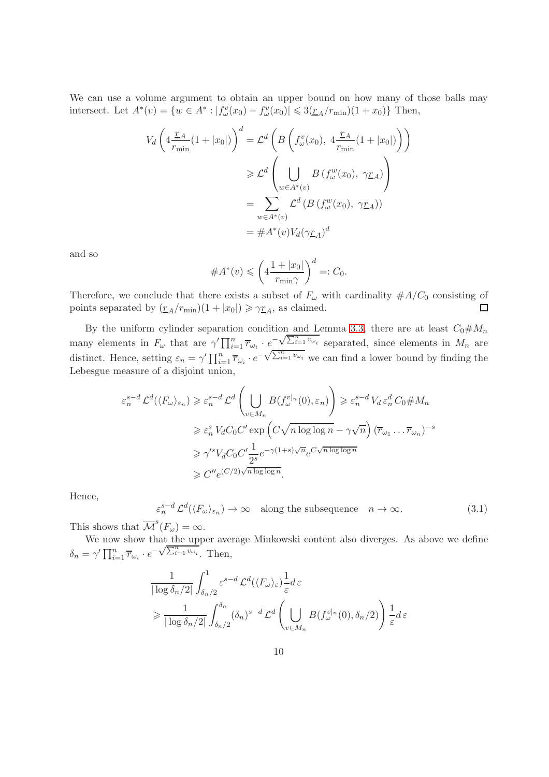We can use a volume argument to obtain an upper bound on how many of those balls may intersect. Let  $A^*(v) = \{w \in A^* : |f^v_\omega(x_0) - f^v_\omega(x_0)| \leq 3(\underline{r}_A/r_{\min})(1+x_0)\}\)$  Then,

$$
V_d \left( 4 \frac{\underline{r}_A}{r_{\min}} (1 + |x_0|) \right)^d = \mathcal{L}^d \left( B \left( f^v_\omega(x_0), 4 \frac{\underline{r}_A}{r_{\min}} (1 + |x_0|) \right) \right)
$$
  
\n
$$
\geq \mathcal{L}^d \left( \bigcup_{w \in A^*(v)} B \left( f^w_\omega(x_0), \gamma \underline{r}_A \right) \right)
$$
  
\n
$$
= \sum_{w \in A^*(v)} \mathcal{L}^d \left( B \left( f^w_\omega(x_0), \gamma \underline{r}_A \right) \right)
$$
  
\n
$$
= \#A^*(v) V_d(\gamma \underline{r}_A)^d
$$

and so

$$
\#A^*(v) \leqslant \left(4\frac{1+|x_0|}{r_{\min}\gamma}\right)^d =: C_0.
$$

Therefore, we conclude that there exists a subset of  $F_{\omega}$  with cardinality  $\#A/C_0$  consisting of points separated by  $(\underline{r}_A/r_{\text{min}})(1+|x_0|) \geq \gamma \underline{r}_A$ , as claimed.  $\Box$ 

By the uniform cylinder separation condition and Lemma [3.3,](#page-8-0) there are at least  $C_0 \# M_n$ many elements in  $F_{\omega}$  that are  $\gamma' \prod_{i=1}^{n} \overline{r}_{\omega_i} \cdot e^{-\sqrt{\sum_{i=1}^{n} v_{\omega_i}}}$  separated, since elements in  $M_n$  are distinct. Hence, setting  $\varepsilon_n = \gamma' \prod_{i=1}^n \overline{r}_{\omega_i} \cdot e^{-\sqrt{\sum_{i=1}^n v_{\omega_i}}}$  we can find a lower bound by finding the Lebesgue measure of a disjoint union,

$$
\varepsilon_n^{s-d} \mathcal{L}^d(\langle F_{\omega} \rangle_{\varepsilon_n}) \geqslant \varepsilon_n^{s-d} \mathcal{L}^d \left( \bigcup_{v \in M_n} B(f_{\omega}^{v|_{n}}(0), \varepsilon_n) \right) \geqslant \varepsilon_n^{s-d} V_d \varepsilon_n^d C_0 \# M_n
$$
  

$$
\geqslant \varepsilon_n^s V_d C_0 C' \exp \left( C \sqrt{n \log \log n} - \gamma \sqrt{n} \right) (\overline{r}_{\omega_1} \dots \overline{r}_{\omega_n})^{-s}
$$
  

$$
\geqslant \gamma'^s V_d C_0 C' \frac{1}{2^s} e^{-\gamma (1+s)\sqrt{n}} e^{C \sqrt{n \log \log n}}
$$
  

$$
\geqslant C'' e^{(C/2)\sqrt{n \log \log n}}.
$$

Hence,

<span id="page-9-0"></span> $\varepsilon_n^{s-d} \mathcal{L}^d(\langle F_\omega \rangle_{\varepsilon_n}) \to \infty$  along the subsequence  $n \to \infty$ . (3.1)

This shows that  $\overline{\mathcal{M}}^s(F_\omega) = \infty$ .

We now show that the upper average Minkowski content also diverges. As above we define  $\delta_n = \gamma' \prod_{i=1}^n \overline{r}_{\omega_i} \cdot e^{-\sqrt{\sum_{i=1}^n v_{\omega_i}}}.$  Then,

$$
\frac{1}{|\log \delta_n/2|} \int_{\delta_n/2}^1 \varepsilon^{s-d} \mathcal{L}^d(\langle F_\omega \rangle_\varepsilon) \frac{1}{\varepsilon} d\varepsilon
$$
  
\n
$$
\geq \frac{1}{|\log \delta_n/2|} \int_{\delta_n/2}^{\delta_n} (\delta_n)^{s-d} \mathcal{L}^d \left( \bigcup_{v \in M_n} B(f_\omega^{v|_n}(0), \delta_n/2) \right) \frac{1}{\varepsilon} d\varepsilon
$$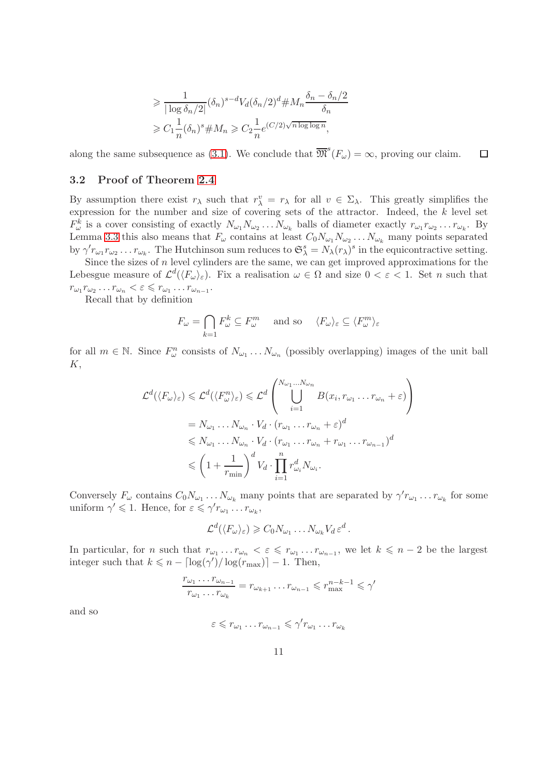$$
\geq \frac{1}{|\log \delta_n/2|} (\delta_n)^{s-d} V_d(\delta_n/2)^d \# M_n \frac{\delta_n - \delta_n/2}{\delta_n}
$$
  
\n
$$
\geq C_1 \frac{1}{n} (\delta_n)^s \# M_n \geq C_2 \frac{1}{n} e^{(C/2)\sqrt{n \log \log n}},
$$

along the same subsequence as [\(3.1\)](#page-9-0). We conclude that  $\overline{\mathfrak{M}}^s(F_\omega) = \infty$ , proving our claim.  $\Box$ 

### 3.2 Proof of Theorem [2.4](#page-4-2)

By assumption there exist  $r_{\lambda}$  such that  $r_{\lambda}^v = r_{\lambda}$  for all  $v \in \Sigma_{\lambda}$ . This greatly simplifies the expression for the number and size of covering sets of the attractor. Indeed, the  $k$  level set  $F_{\omega}^k$  is a cover consisting of exactly  $N_{\omega_1}N_{\omega_2}\ldots N_{\omega_k}$  balls of diameter exactly  $r_{\omega_1}r_{\omega_2}\ldots r_{\omega_k}$ . By Lemma [3.3](#page-8-0) this also means that  $F_{\omega}$  contains at least  $C_0N_{\omega_1}N_{\omega_2}\ldots N_{\omega_k}$  many points separated by  $\gamma' r_{\omega_1} r_{\omega_2} \dots r_{\omega_k}$ . The Hutchinson sum reduces to  $\mathfrak{S}_{\lambda}^s = N_{\lambda}(r_{\lambda})^s$  in the equicontractive setting.

Since the sizes of  $n$  level cylinders are the same, we can get improved approximations for the Lebesgue measure of  $\mathcal{L}^d(\langle F_\omega \rangle_\varepsilon)$ . Fix a realisation  $\omega \in \Omega$  and size  $0 < \varepsilon < 1$ . Set *n* such that  $r_{\omega_1} r_{\omega_2} \dots r_{\omega_n} < \varepsilon \leqslant r_{\omega_1} \dots r_{\omega_{n-1}}.$ 

Recall that by definition

$$
F_{\omega} = \bigcap_{k=1} F_{\omega}^k \subseteq F_{\omega}^m \quad \text{and so} \quad \langle F_{\omega} \rangle_{\varepsilon} \subseteq \langle F_{\omega}^m \rangle_{\varepsilon}
$$

for all  $m \in \mathbb{N}$ . Since  $F_{\omega}^n$  consists of  $N_{\omega_1} \ldots N_{\omega_n}$  (possibly overlapping) images of the unit ball K,

$$
\mathcal{L}^{d}(\langle F_{\omega}\rangle_{\varepsilon}) \leqslant \mathcal{L}^{d}(\langle F_{\omega}^{n}\rangle_{\varepsilon}) \leqslant \mathcal{L}^{d}\left(\bigcup_{i=1}^{N_{\omega_{1}}...N_{\omega_{n}}}B(x_{i},r_{\omega_{1}}...r_{\omega_{n}}+\varepsilon)\right)
$$
\n
$$
= N_{\omega_{1}}...N_{\omega_{n}}\cdot V_{d}\cdot(r_{\omega_{1}}...r_{\omega_{n}}+\varepsilon)^{d}
$$
\n
$$
\leqslant N_{\omega_{1}}...N_{\omega_{n}}\cdot V_{d}\cdot(r_{\omega_{1}}...r_{\omega_{n}}+r_{\omega_{1}}...r_{\omega_{n-1}})^{d}
$$
\n
$$
\leqslant \left(1+\frac{1}{r_{\min}}\right)^{d}V_{d}\cdot\prod_{i=1}^{n}r_{\omega_{i}}^{d}N_{\omega_{i}}.
$$

Conversely  $F_\omega$  contains  $C_0N_{\omega_1}\ldots N_{\omega_k}$  many points that are separated by  $\gamma' r_{\omega_1}\ldots r_{\omega_k}$  for some uniform  $\gamma' \leq 1$ . Hence, for  $\varepsilon \leq \gamma' r_{\omega_1} \dots r_{\omega_k}$ ,

$$
\mathcal{L}^d(\langle F_\omega \rangle_\varepsilon) \geqslant C_0 N_{\omega_1} \dots N_{\omega_k} V_d \varepsilon^d.
$$

In particular, for *n* such that  $r_{\omega_1} \dots r_{\omega_n} < \varepsilon \leq r_{\omega_1} \dots r_{\omega_{n-1}}$ , we let  $k \leq n-2$  be the largest integer such that  $k \leq n - \lceil \log(\gamma') / \log(r_{\text{max}}) \rceil - 1$ . Then,

$$
\frac{r_{\omega_1}\dots r_{\omega_{n-1}}}{r_{\omega_1}\dots r_{\omega_k}}=r_{\omega_{k+1}}\dots r_{\omega_{n-1}}\leq r_{\max}^{n-k-1}\leq \gamma'
$$

and so

$$
\varepsilon \leqslant r_{\omega_1} \dots r_{\omega_{n-1}} \leqslant \gamma' r_{\omega_1} \dots r_{\omega_k}
$$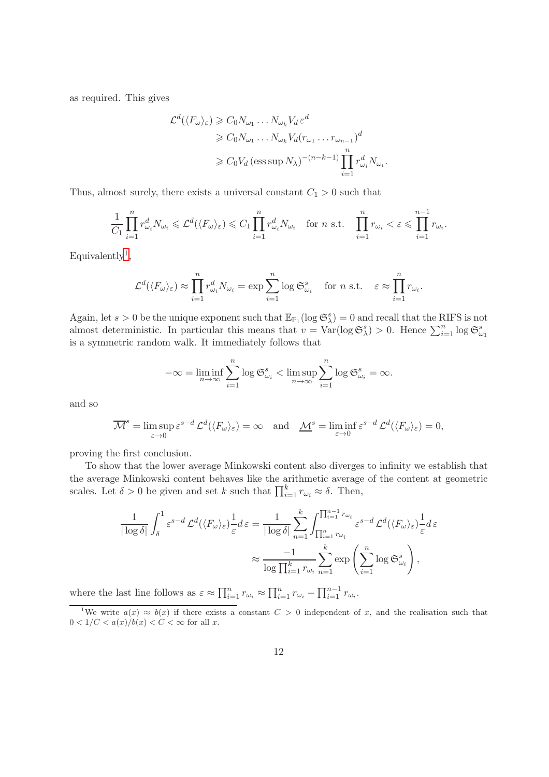as required. This gives

$$
\mathcal{L}^d(\langle F_{\omega}\rangle_{\varepsilon}) \geqslant C_0 N_{\omega_1} \dots N_{\omega_k} V_d \varepsilon^d
$$
  
\n
$$
\geqslant C_0 N_{\omega_1} \dots N_{\omega_k} V_d (r_{\omega_1} \dots r_{\omega_{n-1}})^d
$$
  
\n
$$
\geqslant C_0 V_d (\text{ess sup } N_{\lambda})^{-(n-k-1)} \prod_{i=1}^n r_{\omega_i}^d N_{\omega_i}.
$$

Thus, almost surely, there exists a universal constant  $C_1 > 0$  such that

$$
\frac{1}{C_1} \prod_{i=1}^n r_{\omega_i}^d N_{\omega_i} \leqslant \mathcal{L}^d(\langle F_{\omega} \rangle_{\varepsilon}) \leqslant C_1 \prod_{i=1}^n r_{\omega_i}^d N_{\omega_i} \quad \text{for } n \text{ s.t.} \quad \prod_{i=1}^n r_{\omega_i} < \varepsilon \leqslant \prod_{i=1}^{n-1} r_{\omega_i}.
$$

 $Equivalently<sup>1</sup>$  $Equivalently<sup>1</sup>$  $Equivalently<sup>1</sup>$ ,

$$
\mathcal{L}^d(\langle F_\omega \rangle_\varepsilon) \approx \prod_{i=1}^n r_{\omega_i}^d N_{\omega_i} = \exp \sum_{i=1}^n \log \mathfrak{S}_{\omega_i}^s \quad \text{for } n \text{ s.t. } \varepsilon \approx \prod_{i=1}^n r_{\omega_i}.
$$

Again, let  $s > 0$  be the unique exponent such that  $\mathbb{E}_{\mathbb{P}_1}(\log \mathfrak{S}_{\lambda}^s) = 0$  and recall that the RIFS is not almost deterministic. In particular this means that  $v = \text{Var}(\log \mathfrak{S}_{\lambda}^s) > 0$ . Hence  $\sum_{i=1}^n \log \mathfrak{S}_{\omega_1}^s$ is a symmetric random walk. It immediately follows that

$$
-\infty = \liminf_{n \to \infty} \sum_{i=1}^n \log \mathfrak{S}_{\omega_i}^s < \limsup_{n \to \infty} \sum_{i=1}^n \log \mathfrak{S}_{\omega_i}^s = \infty.
$$

and so

$$
\overline{\mathcal{M}}^s = \limsup_{\varepsilon \to 0} \varepsilon^{s-d} \mathcal{L}^d(\langle F_\omega \rangle_\varepsilon) = \infty \quad \text{and} \quad \underline{\mathcal{M}}^s = \liminf_{\varepsilon \to 0} \varepsilon^{s-d} \mathcal{L}^d(\langle F_\omega \rangle_\varepsilon) = 0,
$$

proving the first conclusion.

To show that the lower average Minkowski content also diverges to infinity we establish that the average Minkowski content behaves like the arithmetic average of the content at geometric scales. Let  $\delta > 0$  be given and set k such that  $\prod_{i=1}^{k} r_{\omega_i} \approx \delta$ . Then,

$$
\frac{1}{|\log \delta|} \int_{\delta}^{1} \varepsilon^{s-d} \mathcal{L}^{d}(\langle F_{\omega} \rangle_{\varepsilon}) \frac{1}{\varepsilon} d\varepsilon = \frac{1}{|\log \delta|} \sum_{n=1}^{k} \int_{\prod_{i=1}^{n} r_{\omega_{i}}}^{\prod_{i=1}^{n} r_{\omega_{i}}} \varepsilon^{s-d} \mathcal{L}^{d}(\langle F_{\omega} \rangle_{\varepsilon}) \frac{1}{\varepsilon} d\varepsilon
$$

$$
\approx \frac{-1}{\log \prod_{i=1}^{k} r_{\omega_{i}}} \sum_{n=1}^{k} \exp\left(\sum_{i=1}^{n} \log \mathfrak{S}_{\omega_{i}}^{s}\right),
$$

where the last line follows as  $\varepsilon \approx \prod_{i=1}^n r_{\omega_i} \approx \prod_{i=1}^n r_{\omega_i} - \prod_{i=1}^{n-1} r_{\omega_i}$ .

<span id="page-11-0"></span><sup>&</sup>lt;sup>1</sup>We write  $a(x) \approx b(x)$  if there exists a constant  $C > 0$  independent of x, and the realisation such that  $0 < 1/C < a(x)/b(x) < C < \infty$  for all x.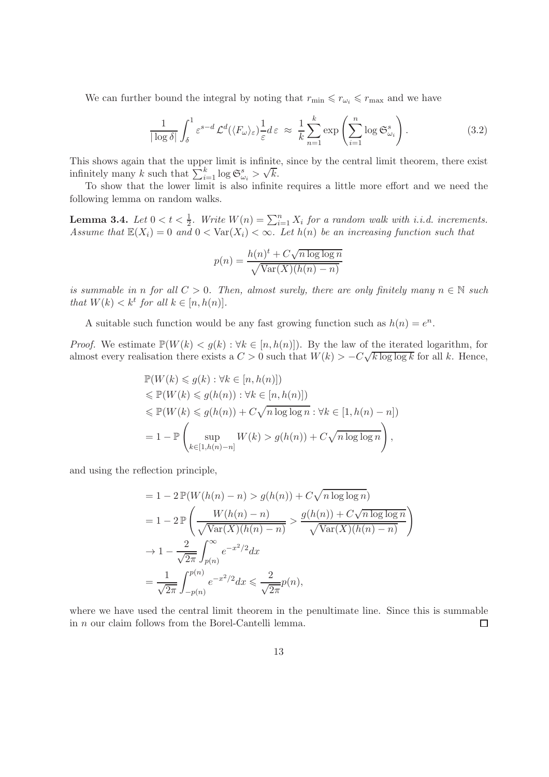We can further bound the integral by noting that  $r_{\min} \leq r_{\min} \leq r_{\max}$  and we have

<span id="page-12-0"></span>
$$
\frac{1}{|\log \delta|} \int_{\delta}^{1} \varepsilon^{s-d} \mathcal{L}^{d}(\langle F_{\omega} \rangle_{\varepsilon}) \frac{1}{\varepsilon} d\varepsilon \approx \frac{1}{k} \sum_{n=1}^{k} \exp\left(\sum_{i=1}^{n} \log \mathfrak{S}_{\omega_{i}}^{s}\right).
$$
 (3.2)

This shows again that the upper limit is infinite, since by the central limit theorem, there exist infinitely many k such that  $\sum_{i=1}^{k} \log \mathfrak{S}_{\omega_i}^s > \sqrt{k}$ .

To show that the lower limit is also infinite requires a little more effort and we need the following lemma on random walks.

<span id="page-12-1"></span>**Lemma 3.4.** Let  $0 < t < \frac{1}{2}$ . Write  $W(n) = \sum_{i=1}^{n} X_i$  for a random walk with i.i.d. increments. Assume that  $\mathbb{E}(X_i) = 0$  and  $0 < \text{Var}(X_i) < \infty$ . Let  $h(n)$  be an increasing function such that

$$
p(n) = \frac{h(n)^{t} + C\sqrt{n \log \log n}}{\sqrt{\text{Var}(X)(h(n) - n)}}
$$

is summable in n for all  $C > 0$ . Then, almost surely, there are only finitely many  $n \in \mathbb{N}$  such that  $W(k) < k^t$  for all  $k \in [n, h(n)]$ .

A suitable such function would be any fast growing function such as  $h(n) = e^n$ .

*Proof.* We estimate  $\mathbb{P}(W(k) < g(k) : \forall k \in [n, h(n)]$ . By the law of the iterated logarithm, for almost every realisation there exists a  $C > 0$  such that  $W(k) > -C\sqrt{k \log \log k}$  for all k. Hence,

$$
\mathbb{P}(W(k) \leq g(k) : \forall k \in [n, h(n)])
$$
  
\n
$$
\leq \mathbb{P}(W(k) \leq g(h(n)) : \forall k \in [n, h(n)])
$$
  
\n
$$
\leq \mathbb{P}(W(k) \leq g(h(n)) + C\sqrt{n \log \log n} : \forall k \in [1, h(n) - n])
$$
  
\n
$$
= 1 - \mathbb{P}\left(\sup_{k \in [1, h(n) - n]} W(k) > g(h(n)) + C\sqrt{n \log \log n}\right),
$$

and using the reflection principle,

$$
= 1 - 2 \mathbb{P}(W(h(n) - n) > g(h(n)) + C\sqrt{n \log \log n})
$$
  
\n
$$
= 1 - 2 \mathbb{P}\left(\frac{W(h(n) - n)}{\sqrt{\text{Var}(X)(h(n) - n)}} > \frac{g(h(n)) + C\sqrt{n \log \log n}}{\sqrt{\text{Var}(X)(h(n) - n)}}\right)
$$
  
\n
$$
\to 1 - \frac{2}{\sqrt{2\pi}} \int_{p(n)}^{\infty} e^{-x^2/2} dx
$$
  
\n
$$
= \frac{1}{\sqrt{2\pi}} \int_{-p(n)}^{p(n)} e^{-x^2/2} dx \le \frac{2}{\sqrt{2\pi}} p(n),
$$

where we have used the central limit theorem in the penultimate line. Since this is summable in n our claim follows from the Borel-Cantelli lemma.  $\Box$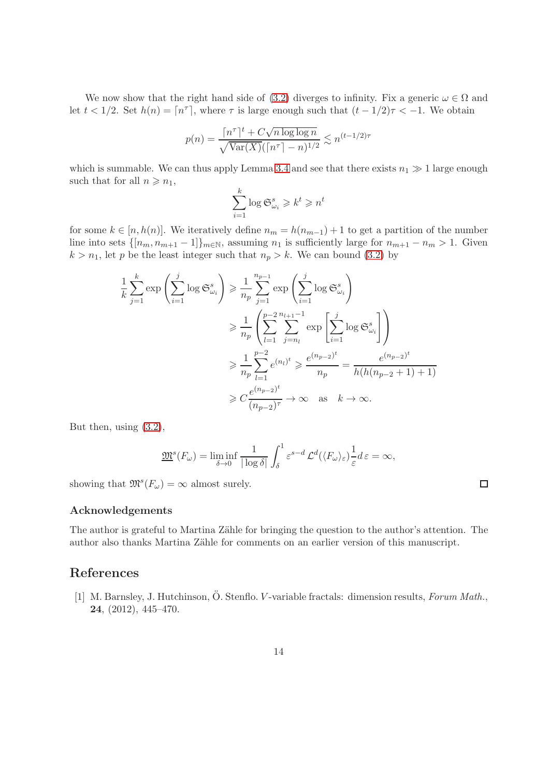We now show that the right hand side of [\(3.2\)](#page-12-0) diverges to infinity. Fix a generic  $\omega \in \Omega$  and let  $t < 1/2$ . Set  $h(n) = \lceil n^{\tau} \rceil$ , where  $\tau$  is large enough such that  $(t - 1/2)\tau < -1$ . We obtain

$$
p(n) = \frac{\lceil n^{\tau} \rceil^{t} + C\sqrt{n \log \log n}}{\sqrt{\text{Var}(X)} (\lceil n^{\tau} \rceil - n)^{1/2}} \lesssim n^{(t-1/2)\tau}
$$

which is summable. We can thus apply Lemma [3.4](#page-12-1) and see that there exists  $n_1 \gg 1$  large enough such that for all  $n \geq n_1$ ,

$$
\sum_{i=1}^{k} \log \mathfrak{S}_{\omega_i}^s \geq k^t \geq n^t
$$

for some  $k \in [n, h(n)]$ . We iteratively define  $n_m = h(n_{m-1}) + 1$  to get a partition of the number line into sets  $\{[n_m, n_{m+1} - 1]\}_{m \in \mathbb{N}}$ , assuming  $n_1$  is sufficiently large for  $n_{m+1} - n_m > 1$ . Given  $k > n_1$ , let p be the least integer such that  $n_p > k$ . We can bound [\(3.2\)](#page-12-0) by

$$
\frac{1}{k} \sum_{j=1}^{k} \exp\left(\sum_{i=1}^{j} \log \mathfrak{S}_{\omega_{i}}^{s}\right) \geq \frac{1}{n_{p}} \sum_{j=1}^{n_{p-1}} \exp\left(\sum_{i=1}^{j} \log \mathfrak{S}_{\omega_{i}}^{s}\right)
$$

$$
\geq \frac{1}{n_{p}} \left(\sum_{l=1}^{p-2} \sum_{j=n_{l}}^{n_{l+1}-1} \exp\left[\sum_{i=1}^{j} \log \mathfrak{S}_{\omega_{i}}^{s}\right]\right)
$$

$$
\geq \frac{1}{n_{p}} \sum_{l=1}^{p-2} e^{(n_{l})^{t}} \geq \frac{e^{(n_{p-2})^{t}}}{n_{p}} = \frac{e^{(n_{p-2})^{t}}}{h(h(n_{p-2}+1)+1)}
$$

$$
\geq C \frac{e^{(n_{p-2})^{t}}}{(n_{p-2})^{\tau}} \to \infty \quad \text{as} \quad k \to \infty.
$$

But then, using [\(3.2\)](#page-12-0),

$$
\underline{\mathfrak{M}}^s(F_\omega) = \liminf_{\delta \to 0} \frac{1}{|\log \delta|} \int_{\delta}^1 \varepsilon^{s-d} \mathcal{L}^d(\langle F_\omega \rangle_\varepsilon) \frac{1}{\varepsilon} d\varepsilon = \infty,
$$

 $\Box$ 

showing that  $\mathfrak{M}^s(F_\omega) = \infty$  almost surely.

#### Acknowledgements

The author is grateful to Martina Zähle for bringing the question to the author's attention. The author also thanks Martina Zähle for comments on an earlier version of this manuscript.

### <span id="page-13-0"></span>References

[1] M. Barnsley, J. Hutchinson, Ö. Stenflo. *V*-variable fractals: dimension results, *Forum Math.*, 24, (2012), 445–470.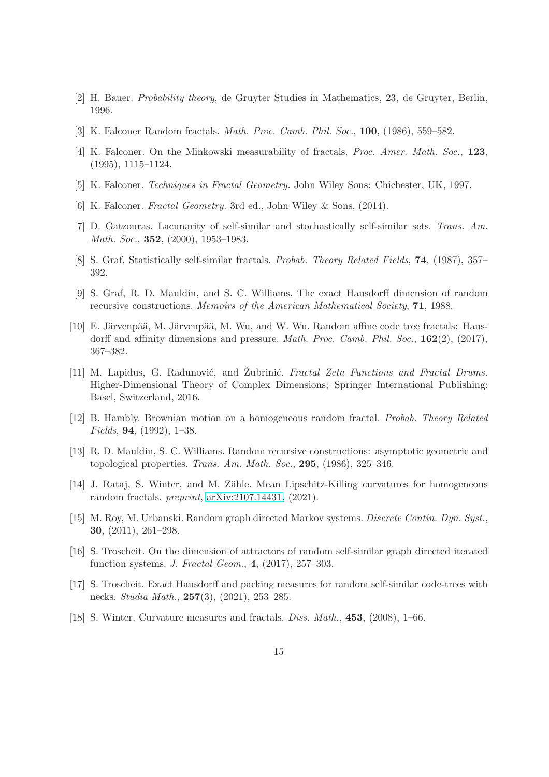- <span id="page-14-16"></span><span id="page-14-6"></span>[2] H. Bauer. Probability theory, de Gruyter Studies in Mathematics, 23, de Gruyter, Berlin, 1996.
- <span id="page-14-3"></span>[3] K. Falconer Random fractals. Math. Proc. Camb. Phil. Soc., 100, (1986), 559–582.
- <span id="page-14-1"></span>[4] K. Falconer. On the Minkowski measurability of fractals. Proc. Amer. Math. Soc., 123, (1995), 1115–1124.
- <span id="page-14-2"></span>[5] K. Falconer. Techniques in Fractal Geometry. John Wiley Sons: Chichester, UK, 1997.
- <span id="page-14-4"></span>[6] K. Falconer. Fractal Geometry. 3rd ed., John Wiley & Sons, (2014).
- [7] D. Gatzouras. Lacunarity of self-similar and stochastically self-similar sets. Trans. Am. Math. Soc., 352, (2000), 1953–1983.
- <span id="page-14-9"></span><span id="page-14-7"></span>[8] S. Graf. Statistically self-similar fractals. Probab. Theory Related Fields, 74, (1987), 357– 392.
- <span id="page-14-15"></span>[9] S. Graf, R. D. Mauldin, and S. C. Williams. The exact Hausdorff dimension of random recursive constructions. Memoirs of the American Mathematical Society, 71, 1988.
- [10] E. Järvenpää, M. Järvenpää, M. Wu, and W. Wu. Random affine code tree fractals: Hausdorff and affinity dimensions and pressure. Math. Proc. Camb. Phil. Soc., 162(2), (2017), 367–382.
- <span id="page-14-0"></span>[11] M. Lapidus, G. Radunović, and Zubrinić. *Fractal Zeta Functions and Fractal Drums*. Higher-Dimensional Theory of Complex Dimensions; Springer International Publishing: Basel, Switzerland, 2016.
- <span id="page-14-10"></span>[12] B. Hambly. Brownian motion on a homogeneous random fractal. Probab. Theory Related Fields, 94, (1992), 1–38.
- <span id="page-14-8"></span>[13] R. D. Mauldin, S. C. Williams. Random recursive constructions: asymptotic geometric and topological properties. Trans. Am. Math. Soc.,  $295$ ,  $(1986)$ ,  $325-346$ .
- <span id="page-14-14"></span>[14] J. Rataj, S. Winter, and M. Zähle. Mean Lipschitz-Killing curvatures for homogeneous random fractals. preprint, [arXiv:2107.14431,](http://arxiv.org/abs/2107.14431) (2021).
- <span id="page-14-11"></span>[15] M. Roy, M. Urbanski. Random graph directed Markov systems. Discrete Contin. Dyn. Syst., 30, (2011), 261–298.
- <span id="page-14-12"></span>[16] S. Troscheit. On the dimension of attractors of random self-similar graph directed iterated function systems. J. Fractal Geom., 4, (2017), 257–303.
- <span id="page-14-13"></span><span id="page-14-5"></span>[17] S. Troscheit. Exact Hausdorff and packing measures for random self-similar code-trees with necks. Studia Math., 257(3), (2021), 253–285.
- [18] S. Winter. Curvature measures and fractals. Diss. Math., 453, (2008), 1–66.